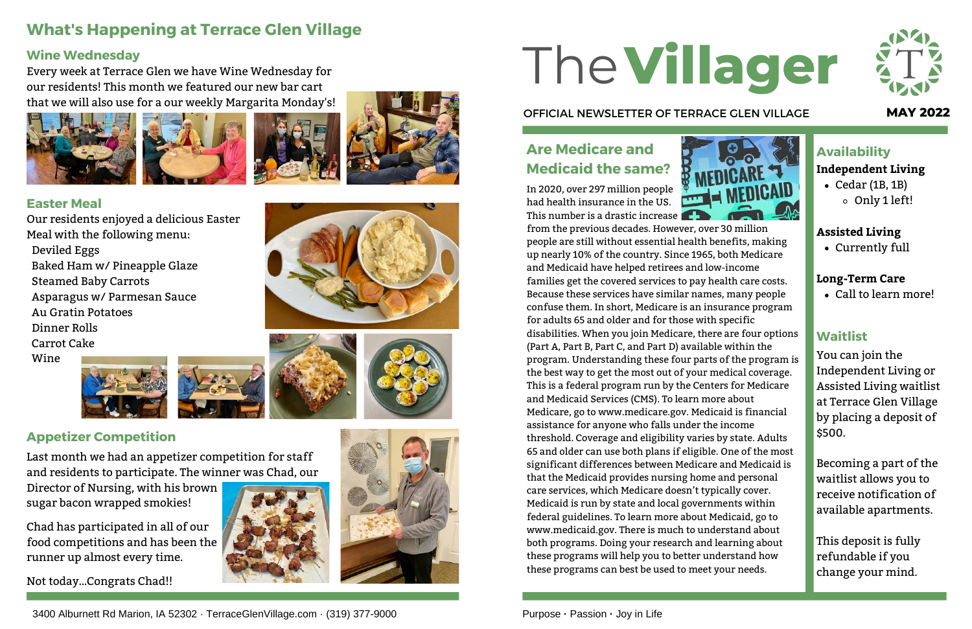In 2020, over 297 million people had health insurance in the US. This number is a drastic increase



from the previous decades. However, over 30 million people are still without essential health benefits, making up nearly 10% of the country. Since 1965, both Medicare and Medicaid have helped retirees and low-income families get the covered services to pay health care costs. Because these services have similar names, many people confuse them. In short, Medicare is an insurance program for adults 65 and older and for those with specific disabilities. When you join Medicare, there are four options (Part A, Part B, Part C, and Part D) available within the program. Understanding these four parts of the program is the best way to get the most out of your medical coverage. This is a federal program run by the Centers for Medicare and Medicaid Services (CMS). To learn more about Medicare, go to www.medicare.gov. Medicaid is financial assistance for anyone who falls under the income threshold. Coverage and eligibility varies by state. Adults 65 and older can use both plans if eligible. One of the most significant differences between Medicare and Medicaid is that the Medicaid provides nursing home and personal care services, which Medicare doesn't typically cover. Medicaid is run by state and local governments within federal guidelines. To learn more about Medicaid, go to www.medicaid.gov. There is much to understand about both programs. Doing your research and learning about these programs will help you to better understand how these programs can best be used to meet your needs.

Cedar (1B, 1B) o Only 1 left!

### **Availability**

# **Villager** The

### OFFICIAL NEWSLETTER OF TERRACE GLEN VILLAGE **MAY 2022**







# **What's Happening at Terrace Glen Village**

Call to learn more!

### Currently full **Assisted Living**

### **Independent Living**

### **Long-Term Care**

### **Waitlist**

You can join the Independent Living or Assisted Living waitlist at Terrace Glen Village by placing a deposit of \$500.

Becoming a part of the waitlist allows you to receive notification of available apartments.

This deposit is fully refundable if you change your mind.

## **Are Medicare and Medicaid the same?**

### **Wine Wednesday**

Every week at Terrace Glen we have Wine Wednesday for our residents! This month we featured our new bar cart that we will also use for a our weekly Margarita Monday's!







Last month we had an appetizer competition for staff and residents to participate. The winner was Chad, our

Director of Nursing, with his brown sugar bacon wrapped smokies!

Chad has participated in all of our food competitions and has been the runner up almost every time.

Not today…Congrats Chad!!







### **Easter Meal**

Our residents enjoyed a delicious Easter Meal with the following menu: Deviled Eggs Baked Ham w/ Pineapple Glaze Steamed Baby Carrots Asparagus w/ Parmesan Sauce Au Gratin Potatoes Dinner Rolls Carrot Cake Wine